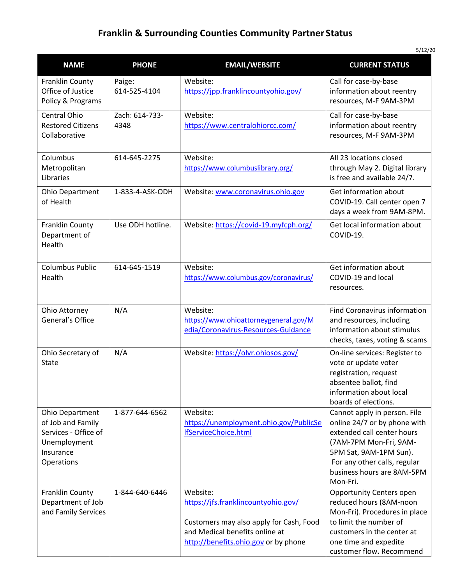## **Franklin & Surrounding Counties Community Partner Status**

| <b>NAME</b>                                                                                                    | <b>PHONE</b>           | <b>EMAIL/WEBSITE</b>                                                                                                                                                 | ہ رعد رد<br><b>CURRENT STATUS</b>                                                                                                                                                                                        |
|----------------------------------------------------------------------------------------------------------------|------------------------|----------------------------------------------------------------------------------------------------------------------------------------------------------------------|--------------------------------------------------------------------------------------------------------------------------------------------------------------------------------------------------------------------------|
| Franklin County<br>Office of Justice<br>Policy & Programs                                                      | Paige:<br>614-525-4104 | Website:<br>https://jpp.franklincountyohio.gov/                                                                                                                      | Call for case-by-base<br>information about reentry<br>resources, M-F 9AM-3PM                                                                                                                                             |
| Central Ohio<br><b>Restored Citizens</b><br>Collaborative                                                      | Zach: 614-733-<br>4348 | Website:<br>https://www.centralohiorcc.com/                                                                                                                          | Call for case-by-base<br>information about reentry<br>resources, M-F 9AM-3PM                                                                                                                                             |
| Columbus<br>Metropolitan<br>Libraries                                                                          | 614-645-2275           | Website:<br>https://www.columbuslibrary.org/                                                                                                                         | All 23 locations closed<br>through May 2. Digital library<br>is free and available 24/7.                                                                                                                                 |
| Ohio Department<br>of Health                                                                                   | 1-833-4-ASK-ODH        | Website: www.coronavirus.ohio.gov                                                                                                                                    | Get information about<br>COVID-19. Call center open 7<br>days a week from 9AM-8PM.                                                                                                                                       |
| Franklin County<br>Department of<br>Health                                                                     | Use ODH hotline.       | Website: https://covid-19.myfcph.org/                                                                                                                                | Get local information about<br>COVID-19.                                                                                                                                                                                 |
| <b>Columbus Public</b><br>Health                                                                               | 614-645-1519           | Website:<br>https://www.columbus.gov/coronavirus/                                                                                                                    | Get information about<br>COVID-19 and local<br>resources.                                                                                                                                                                |
| Ohio Attorney<br>General's Office                                                                              | N/A                    | Website:<br>https://www.ohioattorneygeneral.gov/M<br>edia/Coronavirus-Resources-Guidance                                                                             | <b>Find Coronavirus information</b><br>and resources, including<br>information about stimulus<br>checks, taxes, voting & scams                                                                                           |
| Ohio Secretary of<br>State                                                                                     | N/A                    | Website: https://olvr.ohiosos.gov/                                                                                                                                   | On-line services: Register to<br>vote or update voter<br>registration, request<br>absentee ballot, find<br>information about local<br>boards of elections.                                                               |
| <b>Ohio Department</b><br>of Job and Family<br>Services - Office of<br>Unemployment<br>Insurance<br>Operations | 1-877-644-6562         | Website:<br>https://unemployment.ohio.gov/PublicSe<br><b>IfServiceChoice.html</b>                                                                                    | Cannot apply in person. File<br>online 24/7 or by phone with<br>extended call center hours<br>(7AM-7PM Mon-Fri, 9AM-<br>5PM Sat, 9AM-1PM Sun).<br>For any other calls, regular<br>business hours are 8AM-5PM<br>Mon-Fri. |
| Franklin County<br>Department of Job<br>and Family Services                                                    | 1-844-640-6446         | Website:<br>https://jfs.franklincountyohio.gov/<br>Customers may also apply for Cash, Food<br>and Medical benefits online at<br>http://benefits.ohio.gov or by phone | <b>Opportunity Centers open</b><br>reduced hours (8AM-noon<br>Mon-Fri). Procedures in place<br>to limit the number of<br>customers in the center at<br>one time and expedite<br>customer flow. Recommend                 |

5/12/20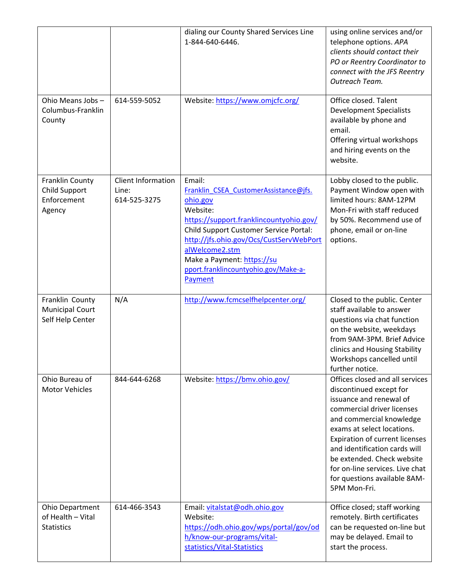|                                                               |                                             | dialing our County Shared Services Line<br>1-844-640-6446.                                                                                                                                                                                                                                                 | using online services and/or<br>telephone options. APA<br>clients should contact their<br>PO or Reentry Coordinator to<br>connect with the JFS Reentry<br>Outreach Team.                                                                                                                                                                                                 |
|---------------------------------------------------------------|---------------------------------------------|------------------------------------------------------------------------------------------------------------------------------------------------------------------------------------------------------------------------------------------------------------------------------------------------------------|--------------------------------------------------------------------------------------------------------------------------------------------------------------------------------------------------------------------------------------------------------------------------------------------------------------------------------------------------------------------------|
| Ohio Means Jobs-<br>Columbus-Franklin<br>County               | 614-559-5052                                | Website: https://www.omjcfc.org/                                                                                                                                                                                                                                                                           | Office closed. Talent<br><b>Development Specialists</b><br>available by phone and<br>email.<br>Offering virtual workshops<br>and hiring events on the<br>website.                                                                                                                                                                                                        |
| Franklin County<br>Child Support<br>Enforcement<br>Agency     | Client Information<br>Line:<br>614-525-3275 | Email:<br>Franklin_CSEA_CustomerAssistance@jfs.<br>ohio.gov<br>Website:<br>https://support.franklincountyohio.gov/<br>Child Support Customer Service Portal:<br>http://jfs.ohio.gov/Ocs/CustServWebPort<br>alWelcome2.stm<br>Make a Payment: https://su<br>pport.franklincountyohio.gov/Make-a-<br>Payment | Lobby closed to the public.<br>Payment Window open with<br>limited hours: 8AM-12PM<br>Mon-Fri with staff reduced<br>by 50%. Recommend use of<br>phone, email or on-line<br>options.                                                                                                                                                                                      |
| Franklin County<br><b>Municipal Court</b><br>Self Help Center | N/A                                         | http://www.fcmcselfhelpcenter.org/                                                                                                                                                                                                                                                                         | Closed to the public. Center<br>staff available to answer<br>questions via chat function<br>on the website, weekdays<br>from 9AM-3PM. Brief Advice<br>clinics and Housing Stability<br>Workshops cancelled until<br>further notice.                                                                                                                                      |
| Ohio Bureau of<br><b>Motor Vehicles</b>                       | 844-644-6268                                | Website: https://bmv.ohio.gov/                                                                                                                                                                                                                                                                             | Offices closed and all services<br>discontinued except for<br>issuance and renewal of<br>commercial driver licenses<br>and commercial knowledge<br>exams at select locations.<br><b>Expiration of current licenses</b><br>and identification cards will<br>be extended. Check website<br>for on-line services. Live chat<br>for questions available 8AM-<br>5PM Mon-Fri. |
| Ohio Department<br>of Health - Vital<br><b>Statistics</b>     | 614-466-3543                                | Email: vitalstat@odh.ohio.gov<br>Website:<br>https://odh.ohio.gov/wps/portal/gov/od<br>h/know-our-programs/vital-<br>statistics/Vital-Statistics                                                                                                                                                           | Office closed; staff working<br>remotely. Birth certificates<br>can be requested on-line but<br>may be delayed. Email to<br>start the process.                                                                                                                                                                                                                           |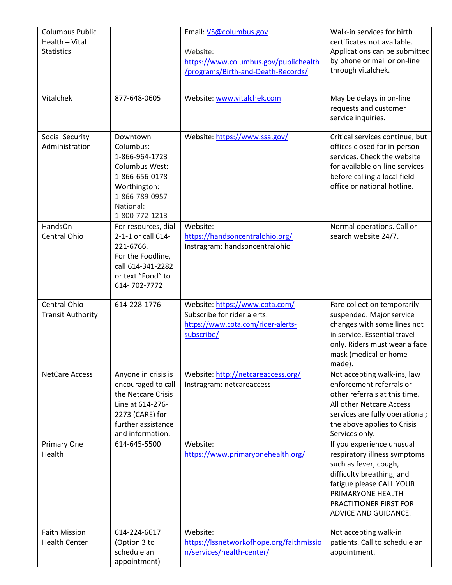| <b>Columbus Public</b><br>Health - Vital<br><b>Statistics</b> |                                                                                                                                                  | Email: VS@columbus.gov<br>Website:<br>https://www.columbus.gov/publichealth<br>/programs/Birth-and-Death-Records/ | Walk-in services for birth<br>certificates not available.<br>Applications can be submitted<br>by phone or mail or on-line<br>through vitalchek.                                                                    |
|---------------------------------------------------------------|--------------------------------------------------------------------------------------------------------------------------------------------------|-------------------------------------------------------------------------------------------------------------------|--------------------------------------------------------------------------------------------------------------------------------------------------------------------------------------------------------------------|
| Vitalchek                                                     | 877-648-0605                                                                                                                                     | Website: www.vitalchek.com                                                                                        | May be delays in on-line<br>requests and customer<br>service inquiries.                                                                                                                                            |
| <b>Social Security</b><br>Administration                      | Downtown<br>Columbus:<br>1-866-964-1723<br>Columbus West:<br>1-866-656-0178<br>Worthington:<br>1-866-789-0957<br>National:<br>1-800-772-1213     | Website: https://www.ssa.gov/                                                                                     | Critical services continue, but<br>offices closed for in-person<br>services. Check the website<br>for available on-line services<br>before calling a local field<br>office or national hotline.                    |
| HandsOn<br>Central Ohio                                       | For resources, dial<br>2-1-1 or call 614-<br>221-6766.<br>For the Foodline,<br>call 614-341-2282<br>or text "Food" to<br>614-702-7772            | Website:<br>https://handsoncentralohio.org/<br>Instragram: handsoncentralohio                                     | Normal operations. Call or<br>search website 24/7.                                                                                                                                                                 |
| Central Ohio<br><b>Transit Authority</b>                      | 614-228-1776                                                                                                                                     | Website: https://www.cota.com/<br>Subscribe for rider alerts:<br>https://www.cota.com/rider-alerts-<br>subscribe/ | Fare collection temporarily<br>suspended. Major service<br>changes with some lines not<br>in service. Essential travel<br>only. Riders must wear a face<br>mask (medical or home-<br>made).                        |
| <b>NetCare Access</b>                                         | Anyone in crisis is<br>encouraged to call<br>the Netcare Crisis<br>Line at 614-276-<br>2273 (CARE) for<br>further assistance<br>and information. | Website: http://netcareaccess.org/<br>Instragram: netcareaccess                                                   | Not accepting walk-ins, law<br>enforcement referrals or<br>other referrals at this time.<br>All other Netcare Access<br>services are fully operational;<br>the above applies to Crisis<br>Services only.           |
| Primary One<br>Health                                         | 614-645-5500                                                                                                                                     | Website:<br>https://www.primaryonehealth.org/                                                                     | If you experience unusual<br>respiratory illness symptoms<br>such as fever, cough,<br>difficulty breathing, and<br>fatigue please CALL YOUR<br>PRIMARYONE HEALTH<br>PRACTITIONER FIRST FOR<br>ADVICE AND GUIDANCE. |
| <b>Faith Mission</b><br><b>Health Center</b>                  | 614-224-6617<br>(Option 3 to<br>schedule an<br>appointment)                                                                                      | Website:<br>https://lssnetworkofhope.org/faithmissio<br>n/services/health-center/                                 | Not accepting walk-in<br>patients. Call to schedule an<br>appointment.                                                                                                                                             |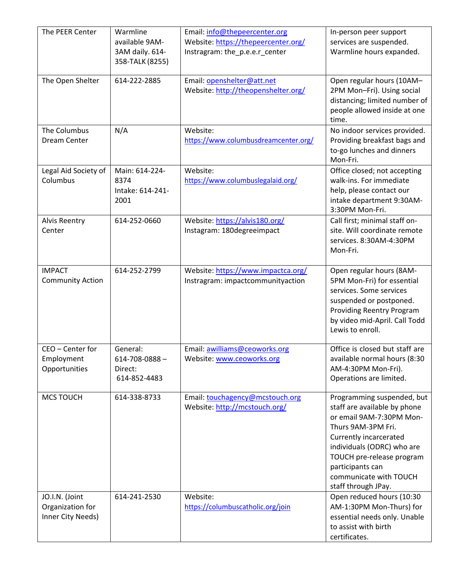| The PEER Center                                         | Warmline<br>available 9AM-<br>3AM daily. 614-<br>358-TALK (8255) | Email: info@thepeercenter.org<br>Website: https://thepeercenter.org/<br>Instragram: the_p.e.e.r_center | In-person peer support<br>services are suspended.<br>Warmline hours expanded.                                                                                                                                                                                          |
|---------------------------------------------------------|------------------------------------------------------------------|--------------------------------------------------------------------------------------------------------|------------------------------------------------------------------------------------------------------------------------------------------------------------------------------------------------------------------------------------------------------------------------|
| The Open Shelter                                        | 614-222-2885                                                     | Email: openshelter@att.net<br>Website: http://theopenshelter.org/                                      | Open regular hours (10AM-<br>2PM Mon-Fri). Using social<br>distancing; limited number of<br>people allowed inside at one<br>time.                                                                                                                                      |
| The Columbus<br>Dream Center                            | N/A                                                              | Website:<br>https://www.columbusdreamcenter.org/                                                       | No indoor services provided.<br>Providing breakfast bags and<br>to-go lunches and dinners<br>Mon-Fri.                                                                                                                                                                  |
| Legal Aid Society of<br>Columbus                        | Main: 614-224-<br>8374<br>Intake: 614-241-<br>2001               | Website:<br>https://www.columbuslegalaid.org/                                                          | Office closed; not accepting<br>walk-ins. For immediate<br>help, please contact our<br>intake department 9:30AM-<br>3:30PM Mon-Fri.                                                                                                                                    |
| <b>Alvis Reentry</b><br>Center                          | 614-252-0660                                                     | Website: https://alvis180.org/<br>Instagram: 180degreeimpact                                           | Call first; minimal staff on-<br>site. Will coordinate remote<br>services. 8:30AM-4:30PM<br>Mon-Fri.                                                                                                                                                                   |
| <b>IMPACT</b><br><b>Community Action</b>                | 614-252-2799                                                     | Website: https://www.impactca.org/<br>Instragram: impactcommunityaction                                | Open regular hours (8AM-<br>5PM Mon-Fri) for essential<br>services. Some services<br>suspended or postponed.<br>Providing Reentry Program<br>by video mid-April. Call Todd<br>Lewis to enroll.                                                                         |
| CEO - Center for<br>Employment<br>Opportunities         | General:<br>$614 - 708 - 0888 -$<br>Direct:<br>614-852-4483      | Email: awilliams@ceoworks.org<br>Website: www.ceoworks.org                                             | Office is closed but staff are<br>available normal hours (8:30<br>AM-4:30PM Mon-Fri).<br>Operations are limited.                                                                                                                                                       |
| <b>MCS TOUCH</b>                                        | 614-338-8733                                                     | Email: touchagency@mcstouch.org<br>Website: http://mcstouch.org/                                       | Programming suspended, but<br>staff are available by phone<br>or email 9AM-7:30PM Mon-<br>Thurs 9AM-3PM Fri.<br>Currently incarcerated<br>individuals (ODRC) who are<br>TOUCH pre-release program<br>participants can<br>communicate with TOUCH<br>staff through JPay. |
| JO.I.N. (Joint<br>Organization for<br>Inner City Needs) | 614-241-2530                                                     | Website:<br>https://columbuscatholic.org/join                                                          | Open reduced hours (10:30<br>AM-1:30PM Mon-Thurs) for<br>essential needs only. Unable<br>to assist with birth<br>certificates.                                                                                                                                         |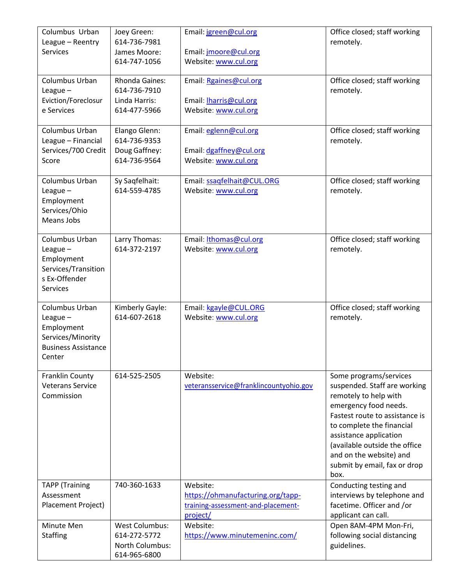| Columbus Urban<br>League - Reentry<br><b>Services</b>                                                   | Joey Green:<br>614-736-7981<br>James Moore:<br>614-747-1056              | Email: jgreen@cul.org<br>Email: jmoore@cul.org<br>Website: www.cul.org                          | Office closed; staff working<br>remotely.                                                                                                                                                                                                                                                             |
|---------------------------------------------------------------------------------------------------------|--------------------------------------------------------------------------|-------------------------------------------------------------------------------------------------|-------------------------------------------------------------------------------------------------------------------------------------------------------------------------------------------------------------------------------------------------------------------------------------------------------|
| Columbus Urban<br>League $-$<br>Eviction/Foreclosur<br>e Services                                       | Rhonda Gaines:<br>614-736-7910<br>Linda Harris:<br>614-477-5966          | Email: Rgaines@cul.org<br>Email: <b>Iharris@cul.org</b><br>Website: www.cul.org                 | Office closed; staff working<br>remotely.                                                                                                                                                                                                                                                             |
| Columbus Urban<br>League - Financial<br>Services/700 Credit<br>Score                                    | Elango Glenn:<br>614-736-9353<br>Doug Gaffney:<br>614-736-9564           | Email: eglenn@cul.org<br>Email: dgaffney@cul.org<br>Website: www.cul.org                        | Office closed; staff working<br>remotely.                                                                                                                                                                                                                                                             |
| Columbus Urban<br>League $-$<br>Employment<br>Services/Ohio<br>Means Jobs                               | Sy Saqfelhait:<br>614-559-4785                                           | Email: ssagfelhait@CUL.ORG<br>Website: www.cul.org                                              | Office closed; staff working<br>remotely.                                                                                                                                                                                                                                                             |
| Columbus Urban<br>League $-$<br>Employment<br>Services/Transition<br>s Ex-Offender<br>Services          | Larry Thomas:<br>614-372-2197                                            | Email: <i>Ithomas@cul.org</i><br>Website: www.cul.org                                           | Office closed; staff working<br>remotely.                                                                                                                                                                                                                                                             |
| Columbus Urban<br>League $-$<br>Employment<br>Services/Minority<br><b>Business Assistance</b><br>Center | Kimberly Gayle:<br>614-607-2618                                          | Email: kgayle@CUL.ORG<br>Website: www.cul.org                                                   | Office closed; staff working<br>remotely.                                                                                                                                                                                                                                                             |
| Franklin County<br><b>Veterans Service</b><br>Commission                                                | 614-525-2505                                                             | Website:<br>veteransservice@franklincountyohio.gov                                              | Some programs/services<br>suspended. Staff are working<br>remotely to help with<br>emergency food needs.<br>Fastest route to assistance is<br>to complete the financial<br>assistance application<br>(available outside the office<br>and on the website) and<br>submit by email, fax or drop<br>box. |
| <b>TAPP</b> (Training<br>Assessment<br>Placement Project)                                               | 740-360-1633                                                             | Website:<br>https://ohmanufacturing.org/tapp-<br>training-assessment-and-placement-<br>project/ | Conducting testing and<br>interviews by telephone and<br>facetime. Officer and /or<br>applicant can call.                                                                                                                                                                                             |
| Minute Men<br><b>Staffing</b>                                                                           | <b>West Columbus:</b><br>614-272-5772<br>North Columbus:<br>614-965-6800 | Website:<br>https://www.minutemeninc.com/                                                       | Open 8AM-4PM Mon-Fri,<br>following social distancing<br>guidelines.                                                                                                                                                                                                                                   |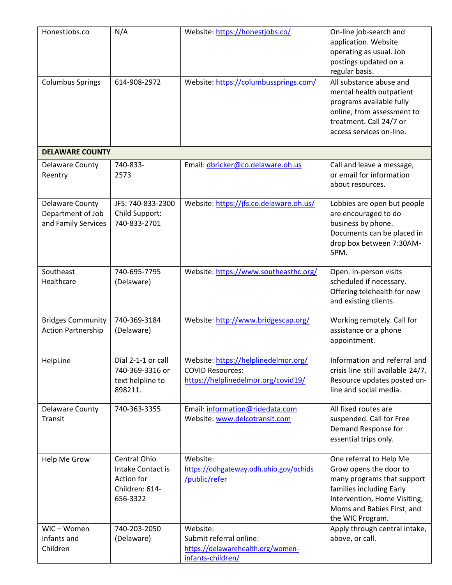| HonestJobs.co                                                      | N/A                                                                           | Website: https://honestjobs.co/                                                                        | On-line job-search and<br>application. Website<br>operating as usual. Job<br>postings updated on a<br>regular basis.                                                                          |
|--------------------------------------------------------------------|-------------------------------------------------------------------------------|--------------------------------------------------------------------------------------------------------|-----------------------------------------------------------------------------------------------------------------------------------------------------------------------------------------------|
| <b>Columbus Springs</b>                                            | 614-908-2972                                                                  | Website: https://columbussprings.com/                                                                  | All substance abuse and<br>mental health outpatient<br>programs available fully<br>online, from assessment to<br>treatment. Call 24/7 or<br>access services on-line.                          |
| <b>DELAWARE COUNTY</b>                                             |                                                                               |                                                                                                        |                                                                                                                                                                                               |
| <b>Delaware County</b><br>Reentry                                  | 740-833-<br>2573                                                              | Email: dbricker@co.delaware.oh.us                                                                      | Call and leave a message,<br>or email for information<br>about resources.                                                                                                                     |
| <b>Delaware County</b><br>Department of Job<br>and Family Services | JFS: 740-833-2300<br>Child Support:<br>740-833-2701                           | Website: https://jfs.co.delaware.oh.us/                                                                | Lobbies are open but people<br>are encouraged to do<br>business by phone.<br>Documents can be placed in<br>drop box between 7:30AM-<br>5PM.                                                   |
| Southeast<br>Healthcare                                            | 740-695-7795<br>(Delaware)                                                    | Website: https://www.southeasthc.org/                                                                  | Open. In-person visits<br>scheduled if necessary.<br>Offering telehealth for new<br>and existing clients.                                                                                     |
| <b>Bridges Community</b><br><b>Action Partnership</b>              | 740-369-3184<br>(Delaware)                                                    | Website: http://www.bridgescap.org/                                                                    | Working remotely. Call for<br>assistance or a phone<br>appointment.                                                                                                                           |
| HelpLine                                                           | Dial 2-1-1 or call<br>740-369-3316 or<br>text helpline to<br>898211.          | Website: https://helplinedelmor.org/<br><b>COVID Resources:</b><br>https://helplinedelmor.org/covid19/ | Information and referral and<br>crisis line still available 24/7.<br>Resource updates posted on-<br>line and social media.                                                                    |
| Delaware County<br>Transit                                         | 740-363-3355                                                                  | Email: information@ridedata.com<br>Website: www.delcotransit.com                                       | All fixed routes are<br>suspended. Call for Free<br>Demand Response for<br>essential trips only.                                                                                              |
| Help Me Grow                                                       | Central Ohio<br>Intake Contact is<br>Action for<br>Children: 614-<br>656-3322 | Website:<br>https://odhgateway.odh.ohio.gov/ochids<br>/public/refer                                    | One referral to Help Me<br>Grow opens the door to<br>many programs that support<br>families including Early<br>Intervention, Home Visiting,<br>Moms and Babies First, and<br>the WIC Program. |
| WIC-Women<br>Infants and<br>Children                               | 740-203-2050<br>(Delaware)                                                    | Website:<br>Submit referral online:<br>https://delawarehealth.org/women-<br>infants-children/          | Apply through central intake,<br>above, or call.                                                                                                                                              |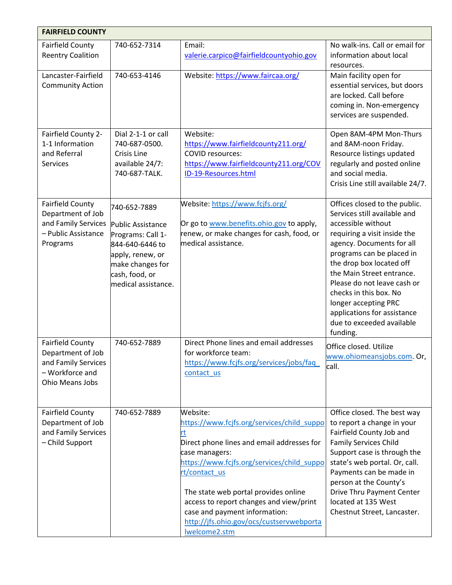| <b>FAIRFIELD COUNTY</b>                                                                                   |                                                                                                                                                            |                                                                                                                                                                                                                                                                                                                                                                              |                                                                                                                                                                                                                                                                                                                                                                                                 |
|-----------------------------------------------------------------------------------------------------------|------------------------------------------------------------------------------------------------------------------------------------------------------------|------------------------------------------------------------------------------------------------------------------------------------------------------------------------------------------------------------------------------------------------------------------------------------------------------------------------------------------------------------------------------|-------------------------------------------------------------------------------------------------------------------------------------------------------------------------------------------------------------------------------------------------------------------------------------------------------------------------------------------------------------------------------------------------|
| <b>Fairfield County</b><br><b>Reentry Coalition</b>                                                       | 740-652-7314                                                                                                                                               | Email:<br>valerie.carpico@fairfieldcountyohio.gov                                                                                                                                                                                                                                                                                                                            | No walk-ins. Call or email for<br>information about local<br>resources.                                                                                                                                                                                                                                                                                                                         |
| Lancaster-Fairfield<br><b>Community Action</b>                                                            | 740-653-4146                                                                                                                                               | Website: https://www.faircaa.org/                                                                                                                                                                                                                                                                                                                                            | Main facility open for<br>essential services, but doors<br>are locked. Call before<br>coming in. Non-emergency<br>services are suspended.                                                                                                                                                                                                                                                       |
| Fairfield County 2-<br>1-1 Information<br>and Referral<br>Services                                        | Dial 2-1-1 or call<br>740-687-0500.<br>Crisis Line<br>available 24/7:<br>740-687-TALK.                                                                     | Website:<br>https://www.fairfieldcounty211.org/<br><b>COVID resources:</b><br>https://www.fairfieldcounty211.org/COV<br>ID-19-Resources.html                                                                                                                                                                                                                                 | Open 8AM-4PM Mon-Thurs<br>and 8AM-noon Friday.<br>Resource listings updated<br>regularly and posted online<br>and social media.<br>Crisis Line still available 24/7.                                                                                                                                                                                                                            |
| <b>Fairfield County</b><br>Department of Job<br>and Family Services<br>- Public Assistance<br>Programs    | 740-652-7889<br>Public Assistance<br>Programs: Call 1-<br>844-640-6446 to<br>apply, renew, or<br>make changes for<br>cash, food, or<br>medical assistance. | Website: https://www.fcjfs.org/<br>Or go to www.benefits.ohio.gov to apply,<br>renew, or make changes for cash, food, or<br>medical assistance.                                                                                                                                                                                                                              | Offices closed to the public.<br>Services still available and<br>accessible without<br>requiring a visit inside the<br>agency. Documents for all<br>programs can be placed in<br>the drop box located off<br>the Main Street entrance.<br>Please do not leave cash or<br>checks in this box. No<br>longer accepting PRC<br>applications for assistance<br>due to exceeded available<br>funding. |
| <b>Fairfield County</b><br>Department of Job<br>and Family Services<br>- Workforce and<br>Ohio Means Jobs | 740-652-7889                                                                                                                                               | Direct Phone lines and email addresses<br>for workforce team:<br>https://www.fcjfs.org/services/jobs/faq<br>contact us                                                                                                                                                                                                                                                       | Office closed. Utilize<br>www.ohiomeansiobs.com. Or.<br>call.                                                                                                                                                                                                                                                                                                                                   |
| <b>Fairfield County</b><br>Department of Job<br>and Family Services<br>- Child Support                    | 740-652-7889                                                                                                                                               | Website:<br>https://www.fcjfs.org/services/child_suppo<br>rt<br>Direct phone lines and email addresses for<br>case managers:<br>https://www.fcjfs.org/services/child suppo<br>rt/contact_us<br>The state web portal provides online<br>access to report changes and view/print<br>case and payment information:<br>http://jfs.ohio.gov/ocs/custservwebporta<br>Iwelcome2.stm | Office closed. The best way<br>to report a change in your<br>Fairfield County Job and<br><b>Family Services Child</b><br>Support case is through the<br>state's web portal. Or, call.<br>Payments can be made in<br>person at the County's<br>Drive Thru Payment Center<br>located at 135 West<br>Chestnut Street, Lancaster.                                                                   |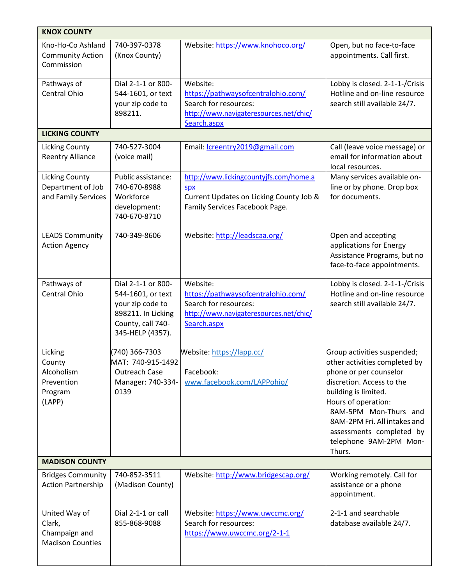| <b>KNOX COUNTY</b>                                                  |                                                                                                                            |                                                                                                                                   |                                                                                                                                                                                                                                                                                             |
|---------------------------------------------------------------------|----------------------------------------------------------------------------------------------------------------------------|-----------------------------------------------------------------------------------------------------------------------------------|---------------------------------------------------------------------------------------------------------------------------------------------------------------------------------------------------------------------------------------------------------------------------------------------|
| Kno-Ho-Co Ashland<br><b>Community Action</b><br>Commission          | 740-397-0378<br>(Knox County)                                                                                              | Website: https://www.knohoco.org/                                                                                                 | Open, but no face-to-face<br>appointments. Call first.                                                                                                                                                                                                                                      |
| Pathways of<br>Central Ohio                                         | Dial 2-1-1 or 800-<br>544-1601, or text<br>your zip code to<br>898211.                                                     | Website:<br>https://pathwaysofcentralohio.com/<br>Search for resources:<br>http://www.navigateresources.net/chic/<br>Search.aspx  | Lobby is closed. 2-1-1-/Crisis<br>Hotline and on-line resource<br>search still available 24/7.                                                                                                                                                                                              |
| <b>LICKING COUNTY</b>                                               |                                                                                                                            |                                                                                                                                   |                                                                                                                                                                                                                                                                                             |
| <b>Licking County</b><br><b>Reentry Alliance</b>                    | 740-527-3004<br>(voice mail)                                                                                               | Email: <i>Icreentry2019@gmail.com</i>                                                                                             | Call (leave voice message) or<br>email for information about<br>local resources.                                                                                                                                                                                                            |
| <b>Licking County</b><br>Department of Job<br>and Family Services   | Public assistance:<br>740-670-8988<br>Workforce<br>development:<br>740-670-8710                                            | http://www.lickingcountyjfs.com/home.a<br><b>Spx</b><br>Current Updates on Licking County Job &<br>Family Services Facebook Page. | Many services available on-<br>line or by phone. Drop box<br>for documents.                                                                                                                                                                                                                 |
| <b>LEADS Community</b><br><b>Action Agency</b>                      | 740-349-8606                                                                                                               | Website: http://leadscaa.org/                                                                                                     | Open and accepting<br>applications for Energy<br>Assistance Programs, but no<br>face-to-face appointments.                                                                                                                                                                                  |
| Pathways of<br><b>Central Ohio</b>                                  | Dial 2-1-1 or 800-<br>544-1601, or text<br>your zip code to<br>898211. In Licking<br>County, call 740-<br>345-HELP (4357). | Website:<br>https://pathwaysofcentralohio.com/<br>Search for resources:<br>http://www.navigateresources.net/chic/<br>Search.aspx  | Lobby is closed. 2-1-1-/Crisis<br>Hotline and on-line resource<br>search still available 24/7.                                                                                                                                                                                              |
| Licking<br>County<br>Alcoholism<br>Prevention<br>Program<br>(LAPP)  | (740) 366-7303<br>MAT: 740-915-1492<br>Outreach Case<br>Manager: 740-334-<br>0139                                          | Website: https://lapp.cc/<br>Facebook:<br>www.facebook.com/LAPPohio/                                                              | Group activities suspended;<br>other activities completed by<br>phone or per counselor<br>discretion. Access to the<br>building is limited.<br>Hours of operation:<br>8AM-5PM Mon-Thurs and<br>8AM-2PM Fri. All intakes and<br>assessments completed by<br>telephone 9AM-2PM Mon-<br>Thurs. |
| <b>MADISON COUNTY</b>                                               |                                                                                                                            |                                                                                                                                   |                                                                                                                                                                                                                                                                                             |
| <b>Bridges Community</b><br>Action Partnership                      | 740-852-3511<br>(Madison County)                                                                                           | Website: http://www.bridgescap.org/                                                                                               | Working remotely. Call for<br>assistance or a phone<br>appointment.                                                                                                                                                                                                                         |
| United Way of<br>Clark,<br>Champaign and<br><b>Madison Counties</b> | Dial 2-1-1 or call<br>855-868-9088                                                                                         | Website: https://www.uwccmc.org/<br>Search for resources:<br>https://www.uwccmc.org/2-1-1                                         | 2-1-1 and searchable<br>database available 24/7.                                                                                                                                                                                                                                            |